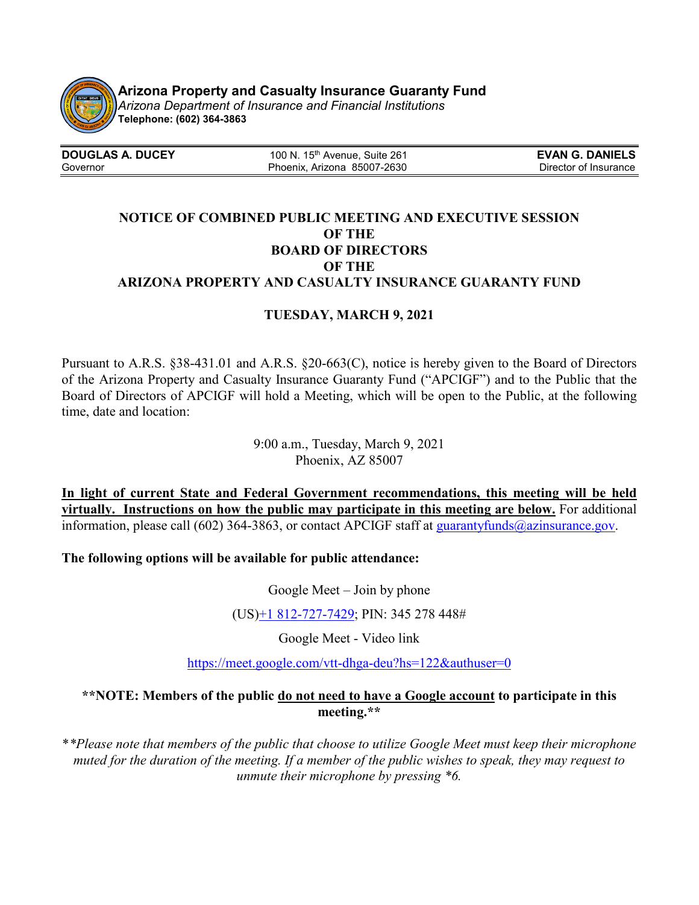

**Arizona Property and Casualty Insurance Guaranty Fund 03/03/21**

*Arizona Department of Insurance and Financial Institutions* **Telephone: (602) 364-3863**

| <b>DOUGLAS A. DUCEY</b> | 100 N. $15th$ Avenue. Suite 261 | <b>EVAN G. DANIELS</b> |
|-------------------------|---------------------------------|------------------------|
| Governor                | Phoenix, Arizona 85007-2630     | Director of Insurance  |

## **NOTICE OF COMBINED PUBLIC MEETING AND EXECUTIVE SESSION OF THE BOARD OF DIRECTORS OF THE ARIZONA PROPERTY AND CASUALTY INSURANCE GUARANTY FUND**

## **TUESDAY, MARCH 9, 2021**

Pursuant to A.R.S. §38-431.01 and A.R.S. §20-663(C), notice is hereby given to the Board of Directors of the Arizona Property and Casualty Insurance Guaranty Fund ("APCIGF") and to the Public that the Board of Directors of APCIGF will hold a Meeting, which will be open to the Public, at the following time, date and location:

> 9:00 a.m., Tuesday, March 9, 2021 Phoenix, AZ 85007

**In light of current State and Federal Government recommendations, this meeting will be held virtually. Instructions on how the public may participate in this meeting are below.** For additional information, please call (602) 364-3863, or contact APCIGF staff at [guarantyfunds@azinsurance.gov.](mailto:guarantyfunds@azinsurance.gov)

**The following options will be available for public attendance:**

Google Meet – Join by phone

(US)+1 [812-727-7429;](tel:%E2%80%AA+1%20812-727-7429%E2%80%AC) PIN: 345 278 448#

Google Meet - Video link

<https://meet.google.com/vtt-dhga-deu?hs=122&authuser=0>

## **\*\*NOTE: Members of the public do not need to have a Google account to participate in this meeting.\*\***

\**\*Please note that members of the public that choose to utilize Google Meet must keep their microphone muted for the duration of the meeting. If a member of the public wishes to speak, they may request to unmute their microphone by pressing \*6.*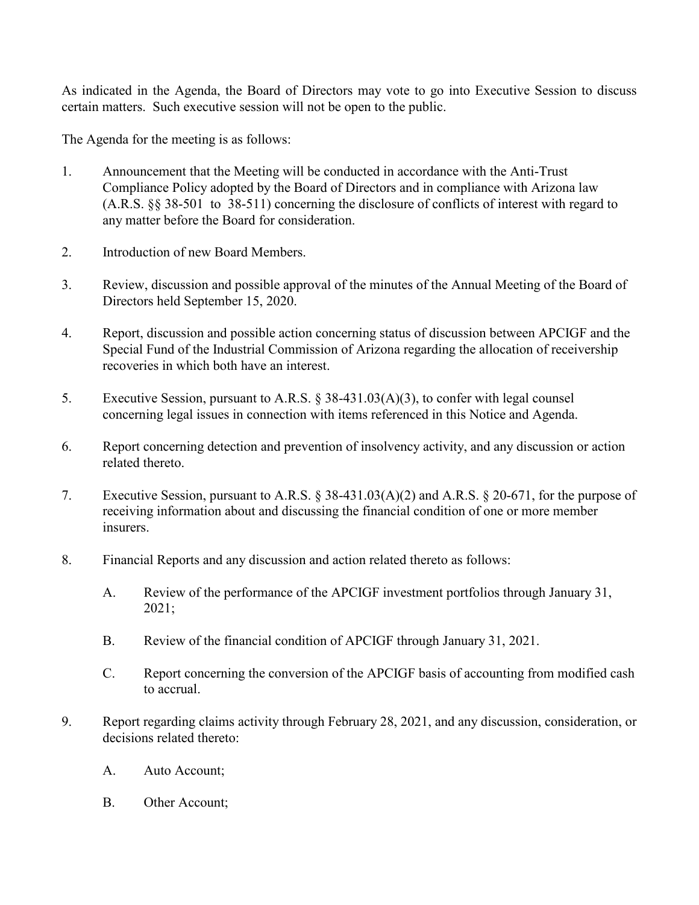As indicated in the Agenda, the Board of Directors may vote to go into Executive Session to discuss certain matters. Such executive session will not be open to the public.

The Agenda for the meeting is as follows:

- 1. Announcement that the Meeting will be conducted in accordance with the Anti-Trust Compliance Policy adopted by the Board of Directors and in compliance with Arizona law (A.R.S. §§ 38-501 to 38-511) concerning the disclosure of conflicts of interest with regard to any matter before the Board for consideration.
- 2. Introduction of new Board Members.
- 3. Review, discussion and possible approval of the minutes of the Annual Meeting of the Board of Directors held September 15, 2020.
- 4. Report, discussion and possible action concerning status of discussion between APCIGF and the Special Fund of the Industrial Commission of Arizona regarding the allocation of receivership recoveries in which both have an interest.
- 5. Executive Session, pursuant to A.R.S. § 38-431.03(A)(3), to confer with legal counsel concerning legal issues in connection with items referenced in this Notice and Agenda.
- 6. Report concerning detection and prevention of insolvency activity, and any discussion or action related thereto.
- 7. Executive Session, pursuant to A.R.S. § 38-431.03(A)(2) and A.R.S. § 20-671, for the purpose of receiving information about and discussing the financial condition of one or more member insurers.
- 8. Financial Reports and any discussion and action related thereto as follows:
	- A. Review of the performance of the APCIGF investment portfolios through January 31, 2021;
	- B. Review of the financial condition of APCIGF through January 31, 2021.
	- C. Report concerning the conversion of the APCIGF basis of accounting from modified cash to accrual.
- 9. Report regarding claims activity through February 28, 2021, and any discussion, consideration, or decisions related thereto:
	- A. Auto Account;
	- B. Other Account;